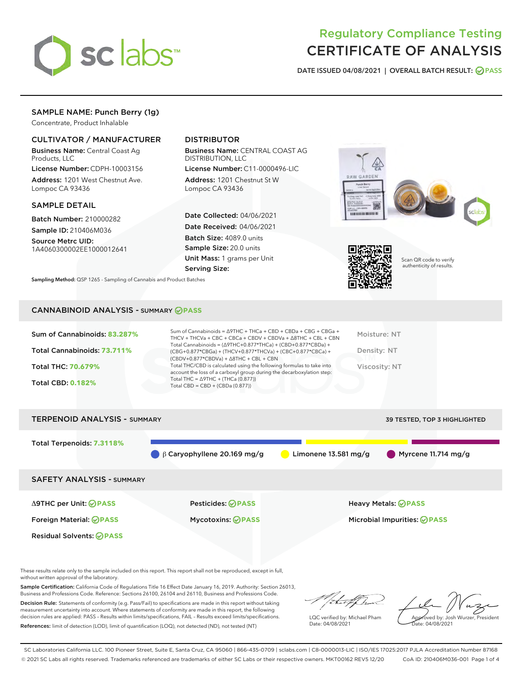

# Regulatory Compliance Testing CERTIFICATE OF ANALYSIS

DATE ISSUED 04/08/2021 | OVERALL BATCH RESULT: @ PASS

# SAMPLE NAME: Punch Berry (1g)

Concentrate, Product Inhalable

## CULTIVATOR / MANUFACTURER

Business Name: Central Coast Ag Products, LLC

License Number: CDPH-10003156 Address: 1201 West Chestnut Ave. Lompoc CA 93436

#### SAMPLE DETAIL

Batch Number: 210000282 Sample ID: 210406M036

Source Metrc UID: 1A4060300002EE1000012641

# DISTRIBUTOR

Business Name: CENTRAL COAST AG DISTRIBUTION, LLC

License Number: C11-0000496-LIC Address: 1201 Chestnut St W Lompoc CA 93436

Date Collected: 04/06/2021 Date Received: 04/06/2021 Batch Size: 4089.0 units Sample Size: 20.0 units Unit Mass: 1 grams per Unit Serving Size:

Sampling Method: QSP 1265 - Sampling of Cannabis and Product Batches





Scan QR code to verify authenticity of results.

#### CANNABINOID ANALYSIS - SUMMARY **PASS**

| Sum of Cannabinoids: 83.287%<br>Total Cannabinoids: 73.711%<br>Total THC: 70.679%<br><b>Total CBD: 0.182%</b> | Sum of Cannabinoids = $\triangle$ 9THC + THCa + CBD + CBDa + CBG + CBGa +<br>THCV + THCVa + CBC + CBCa + CBDV + CBDVa + $\Delta$ 8THC + CBL + CBN<br>Total Cannabinoids = $(\Delta$ 9THC+0.877*THCa) + (CBD+0.877*CBDa) +<br>(CBG+0.877*CBGa) + (THCV+0.877*THCVa) + (CBC+0.877*CBCa) +<br>$(CBDV+0.877*CBDVa) + \Delta 8THC + CBL + CBN$<br>Total THC/CBD is calculated using the following formulas to take into<br>account the loss of a carboxyl group during the decarboxylation step:<br>Total THC = $\triangle$ 9THC + (THCa (0.877))<br>Total CBD = $CBD + (CBDa (0.877))$ | Moisture: NT<br>Density: NT<br>Viscosity: NT |
|---------------------------------------------------------------------------------------------------------------|------------------------------------------------------------------------------------------------------------------------------------------------------------------------------------------------------------------------------------------------------------------------------------------------------------------------------------------------------------------------------------------------------------------------------------------------------------------------------------------------------------------------------------------------------------------------------------|----------------------------------------------|
| <b>TERPENOID ANALYSIS - SUMMARY</b>                                                                           |                                                                                                                                                                                                                                                                                                                                                                                                                                                                                                                                                                                    | <b>39 TESTED, TOP 3 HIGHLIGHTED</b>          |

 $\bigcirc$  β Caryophyllene 20.169 mg/g  $\bigcirc$  Limonene 13.581 mg/g  $\bigcirc$  Myrcene 11.714 mg/g

SAFETY ANALYSIS - SUMMARY

Δ9THC per Unit: **PASS** Pesticides: **PASS** Heavy Metals: **PASS** Foreign Material: **PASS** Mycotoxins: **PASS** Microbial Impurities: **PASS**

Total Terpenoids: **7.3118%**

Residual Solvents: **PASS** 

These results relate only to the sample included on this report. This report shall not be reproduced, except in full, without written approval of the laboratory.

Sample Certification: California Code of Regulations Title 16 Effect Date January 16, 2019. Authority: Section 26013, Business and Professions Code. Reference: Sections 26100, 26104 and 26110, Business and Professions Code.

Decision Rule: Statements of conformity (e.g. Pass/Fail) to specifications are made in this report without taking measurement uncertainty into account. Where statements of conformity are made in this report, the following decision rules are applied: PASS – Results within limits/specifications, FAIL – Results exceed limits/specifications. References: limit of detection (LOD), limit of quantification (LOQ), not detected (ND), not tested (NT)

that f

LQC verified by: Michael Pham Date: 04/08/2021

Approved by: Josh Wurzer, President ate: 04/08/2021

SC Laboratories California LLC. 100 Pioneer Street, Suite E, Santa Cruz, CA 95060 | 866-435-0709 | sclabs.com | C8-0000013-LIC | ISO/IES 17025:2017 PJLA Accreditation Number 87168 © 2021 SC Labs all rights reserved. Trademarks referenced are trademarks of either SC Labs or their respective owners. MKT00162 REV5 12/20 CoA ID: 210406M036-001 Page 1 of 4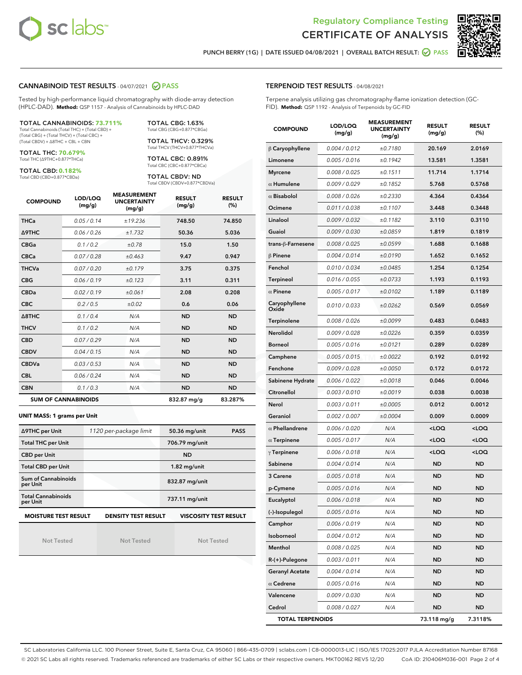



PUNCH BERRY (1G) | DATE ISSUED 04/08/2021 | OVERALL BATCH RESULT:  $\bigcirc$  PASS

#### CANNABINOID TEST RESULTS - 04/07/2021 2 PASS

Tested by high-performance liquid chromatography with diode-array detection (HPLC-DAD). **Method:** QSP 1157 - Analysis of Cannabinoids by HPLC-DAD

#### TOTAL CANNABINOIDS: **73.711%**

Total Cannabinoids (Total THC) + (Total CBD) + (Total CBG) + (Total THCV) + (Total CBC) + (Total CBDV) + ∆8THC + CBL + CBN

TOTAL THC: **70.679%** Total THC (∆9THC+0.877\*THCa)

TOTAL CBD: **0.182%**

Total CBD (CBD+0.877\*CBDa)

TOTAL CBG: 1.63% Total CBG (CBG+0.877\*CBGa)

TOTAL THCV: 0.329% Total THCV (THCV+0.877\*THCVa)

TOTAL CBC: 0.891% Total CBC (CBC+0.877\*CBCa)

TOTAL CBDV: ND Total CBDV (CBDV+0.877\*CBDVa)

| <b>COMPOUND</b>  | LOD/LOQ<br>(mg/g)          | <b>MEASUREMENT</b><br><b>UNCERTAINTY</b><br>(mg/g) | <b>RESULT</b><br>(mg/g) | <b>RESULT</b><br>(%) |
|------------------|----------------------------|----------------------------------------------------|-------------------------|----------------------|
| <b>THCa</b>      | 0.05/0.14                  | ±19.236                                            | 748.50                  | 74.850               |
| <b>A9THC</b>     | 0.06 / 0.26                | ±1.732                                             | 50.36                   | 5.036                |
| <b>CBGa</b>      | 0.1/0.2                    | ±0.78                                              | 15.0                    | 1.50                 |
| <b>CBCa</b>      | 0.07/0.28                  | ±0.463                                             | 9.47                    | 0.947                |
| <b>THCVa</b>     | 0.07/0.20                  | ±0.179                                             | 3.75                    | 0.375                |
| <b>CBG</b>       | 0.06/0.19                  | ±0.123                                             | 3.11                    | 0.311                |
| <b>CBDa</b>      | 0.02/0.19                  | ±0.061                                             | 2.08                    | 0.208                |
| <b>CBC</b>       | 0.2 / 0.5                  | ±0.02                                              | 0.6                     | 0.06                 |
| $\triangle$ 8THC | 0.1/0.4                    | N/A                                                | <b>ND</b>               | <b>ND</b>            |
| <b>THCV</b>      | 0.1/0.2                    | N/A                                                | <b>ND</b>               | <b>ND</b>            |
| <b>CBD</b>       | 0.07/0.29                  | N/A                                                | <b>ND</b>               | <b>ND</b>            |
| <b>CBDV</b>      | 0.04/0.15                  | N/A                                                | <b>ND</b>               | <b>ND</b>            |
| <b>CBDVa</b>     | 0.03/0.53                  | N/A                                                | <b>ND</b>               | <b>ND</b>            |
| <b>CBL</b>       | 0.06 / 0.24                | N/A                                                | <b>ND</b>               | <b>ND</b>            |
| <b>CBN</b>       | 0.1/0.3                    | N/A                                                | <b>ND</b>               | <b>ND</b>            |
|                  | <b>SUM OF CANNABINOIDS</b> |                                                    | 832.87 mg/g             | 83.287%              |

#### **UNIT MASS: 1 grams per Unit**

| ∆9THC per Unit                        | 1120 per-package limit     | <b>PASS</b><br>50.36 mg/unit |  |  |
|---------------------------------------|----------------------------|------------------------------|--|--|
| <b>Total THC per Unit</b>             |                            | 706.79 mg/unit               |  |  |
| <b>CBD per Unit</b>                   |                            | <b>ND</b>                    |  |  |
| <b>Total CBD per Unit</b>             |                            | $1.82$ mg/unit               |  |  |
| Sum of Cannabinoids<br>per Unit       |                            | 832.87 mg/unit               |  |  |
| <b>Total Cannabinoids</b><br>per Unit |                            | 737.11 mg/unit               |  |  |
| <b>MOISTURE TEST RESULT</b>           | <b>DENSITY TEST RESULT</b> | <b>VISCOSITY TEST RESULT</b> |  |  |

Not Tested

**MOISTURE TEST RESULT**

Not Tested

Not Tested

#### TERPENOID TEST RESULTS - 04/08/2021

Terpene analysis utilizing gas chromatography-flame ionization detection (GC-FID). **Method:** QSP 1192 - Analysis of Terpenoids by GC-FID

| <b>COMPOUND</b>         | LOD/LOQ<br>(mg/g) | <b>MEASUREMENT</b><br><b>UNCERTAINTY</b><br>(mg/g) | <b>RESULT</b><br>(mg/g)                         | <b>RESULT</b><br>$(\%)$ |
|-------------------------|-------------------|----------------------------------------------------|-------------------------------------------------|-------------------------|
| $\beta$ Caryophyllene   | 0.004 / 0.012     | ±0.7180                                            | 20.169                                          | 2.0169                  |
| Limonene                | 0.005 / 0.016     | ±0.1942                                            | 13.581                                          | 1.3581                  |
| <b>Myrcene</b>          | 0.008 / 0.025     | ±0.1511                                            | 11.714                                          | 1.1714                  |
| $\alpha$ Humulene       | 0.009 / 0.029     | ±0.1852                                            | 5.768                                           | 0.5768                  |
| $\alpha$ Bisabolol      | 0.008 / 0.026     | ±0.2330                                            | 4.364                                           | 0.4364                  |
| Ocimene                 | 0.011 / 0.038     | ±0.1107                                            | 3.448                                           | 0.3448                  |
| Linalool                | 0.009 / 0.032     | ±0.1182                                            | 3.110                                           | 0.3110                  |
| Guaiol                  | 0.009 / 0.030     | ±0.0859                                            | 1.819                                           | 0.1819                  |
| trans-ß-Farnesene       | 0.008 / 0.025     | ±0.0599                                            | 1.688                                           | 0.1688                  |
| $\beta$ Pinene          | 0.004 / 0.014     | ±0.0190                                            | 1.652                                           | 0.1652                  |
| Fenchol                 | 0.010 / 0.034     | ±0.0485                                            | 1.254                                           | 0.1254                  |
| Terpineol               | 0.016 / 0.055     | ±0.0733                                            | 1.193                                           | 0.1193                  |
| $\alpha$ Pinene         | 0.005 / 0.017     | ±0.0102                                            | 1.189                                           | 0.1189                  |
| Caryophyllene<br>Oxide  | 0.010 / 0.033     | ±0.0262                                            | 0.569                                           | 0.0569                  |
| Terpinolene             | 0.008 / 0.026     | ±0.0099                                            | 0.483                                           | 0.0483                  |
| <b>Nerolidol</b>        | 0.009 / 0.028     | ±0.0226                                            | 0.359                                           | 0.0359                  |
| <b>Borneol</b>          | 0.005 / 0.016     | ±0.0121                                            | 0.289                                           | 0.0289                  |
| Camphene                | 0.005 / 0.015     | ±0.0022                                            | 0.192                                           | 0.0192                  |
| Fenchone                | 0.009 / 0.028     | ±0.0050                                            | 0.172                                           | 0.0172                  |
| Sabinene Hydrate        | 0.006 / 0.022     | ±0.0018                                            | 0.046                                           | 0.0046                  |
| Citronellol             | 0.003 / 0.010     | ±0.0019                                            | 0.038                                           | 0.0038                  |
| Nerol                   | 0.003 / 0.011     | ±0.0005                                            | 0.012                                           | 0.0012                  |
| Geraniol                | 0.002 / 0.007     | ±0.0004                                            | 0.009                                           | 0.0009                  |
| $\alpha$ Phellandrene   | 0.006 / 0.020     | N/A                                                | <loq< th=""><th><loq< th=""></loq<></th></loq<> | <loq< th=""></loq<>     |
| $\alpha$ Terpinene      | 0.005 / 0.017     | N/A                                                | <loq< th=""><th><loq< th=""></loq<></th></loq<> | <loq< th=""></loq<>     |
| $\gamma$ Terpinene      | 0.006 / 0.018     | N/A                                                | <loq< th=""><th><loq< th=""></loq<></th></loq<> | <loq< th=""></loq<>     |
| Sabinene                | 0.004/0.014       | N/A                                                | <b>ND</b>                                       | <b>ND</b>               |
| 3 Carene                | 0.005 / 0.018     | N/A                                                | ND                                              | <b>ND</b>               |
| p-Cymene                | 0.005 / 0.016     | N/A                                                | <b>ND</b>                                       | <b>ND</b>               |
| Eucalyptol              | 0.006 / 0.018     | N/A                                                | <b>ND</b>                                       | <b>ND</b>               |
| (-)-Isopulegol          | 0.005 / 0.016     | N/A                                                | ND                                              | ND                      |
| Camphor                 | 0.006 / 0.019     | N/A                                                | ND                                              | ND                      |
| Isoborneol              | 0.004 / 0.012     | N/A                                                | ND                                              | ND                      |
| Menthol                 | 0.008 / 0.025     | N/A                                                | ND                                              | ND                      |
| R-(+)-Pulegone          | 0.003 / 0.011     | N/A                                                | ND                                              | ND                      |
| <b>Geranyl Acetate</b>  | 0.004 / 0.014     | N/A                                                | ND                                              | ND                      |
| $\alpha$ Cedrene        | 0.005 / 0.016     | N/A                                                | ND                                              | ND                      |
| Valencene               | 0.009 / 0.030     | N/A                                                | ND                                              | ND                      |
| Cedrol                  | 0.008 / 0.027     | N/A                                                | ND                                              | <b>ND</b>               |
| <b>TOTAL TERPENOIDS</b> |                   |                                                    | 73.118 mg/g                                     | 7.3118%                 |

SC Laboratories California LLC. 100 Pioneer Street, Suite E, Santa Cruz, CA 95060 | 866-435-0709 | sclabs.com | C8-0000013-LIC | ISO/IES 17025:2017 PJLA Accreditation Number 87168 © 2021 SC Labs all rights reserved. Trademarks referenced are trademarks of either SC Labs or their respective owners. MKT00162 REV5 12/20 CoA ID: 210406M036-001 Page 2 of 4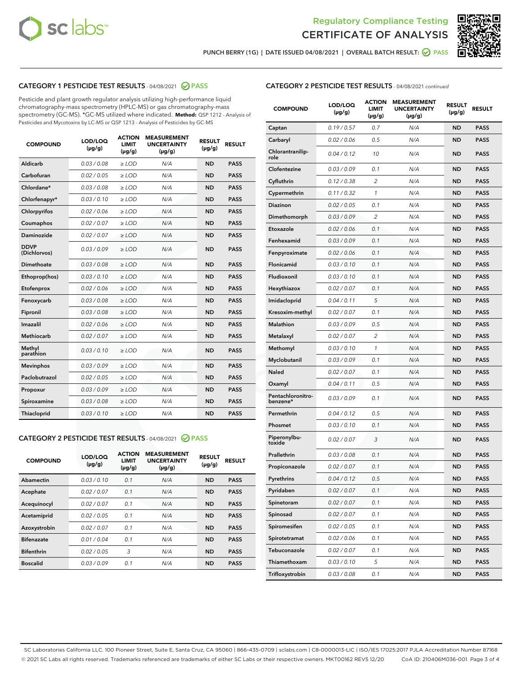



PUNCH BERRY (1G) | DATE ISSUED 04/08/2021 | OVERALL BATCH RESULT: 2 PASS

# CATEGORY 1 PESTICIDE TEST RESULTS - 04/08/2021 2 PASS

Pesticide and plant growth regulator analysis utilizing high-performance liquid chromatography-mass spectrometry (HPLC-MS) or gas chromatography-mass spectrometry (GC-MS). \*GC-MS utilized where indicated. **Method:** QSP 1212 - Analysis of Pesticides and Mycotoxins by LC-MS or QSP 1213 - Analysis of Pesticides by GC-MS

| 0.03 / 0.08<br><b>ND</b><br><b>PASS</b><br>Aldicarb<br>$\ge$ LOD<br>N/A<br>Carbofuran<br>0.02 / 0.05<br>N/A<br>$\ge$ LOD<br><b>ND</b><br><b>PASS</b><br>Chlordane*<br>0.03 / 0.08<br>$\ge$ LOD<br>N/A<br><b>ND</b><br><b>PASS</b><br>Chlorfenapyr*<br>0.03/0.10<br>$\ge$ LOD<br>N/A<br><b>ND</b><br><b>PASS</b><br>0.02 / 0.06<br>N/A<br><b>ND</b><br><b>PASS</b><br>Chlorpyrifos<br>$\ge$ LOD<br>N/A<br>Coumaphos<br>0.02 / 0.07<br><b>ND</b><br><b>PASS</b><br>$\ge$ LOD<br>Daminozide<br>0.02 / 0.07<br>N/A<br><b>ND</b><br><b>PASS</b><br>$\ge$ LOD<br><b>DDVP</b><br>0.03/0.09<br>$>$ LOD<br>N/A<br><b>ND</b><br><b>PASS</b><br>(Dichlorvos)<br>Dimethoate<br>0.03/0.08<br>$\ge$ LOD<br>N/A<br><b>PASS</b><br><b>ND</b><br>0.03 / 0.10<br>N/A<br><b>ND</b><br><b>PASS</b><br>Ethoprop(hos)<br>$>$ LOD<br>0.02 / 0.06<br>N/A<br><b>ND</b><br><b>PASS</b><br>$\ge$ LOD<br>Etofenprox<br>Fenoxycarb<br>0.03/0.08<br>$\ge$ LOD<br>N/A<br><b>ND</b><br><b>PASS</b><br>0.03/0.08<br>$\ge$ LOD<br>N/A<br><b>ND</b><br><b>PASS</b><br>Fipronil<br>Imazalil<br>0.02 / 0.06<br>$>$ LOD<br>N/A<br><b>ND</b><br><b>PASS</b><br><b>Methiocarb</b><br>0.02 / 0.07<br>$\ge$ LOD<br>N/A<br><b>ND</b><br><b>PASS</b><br>Methyl<br>0.03/0.10<br>N/A<br><b>ND</b><br>$\ge$ LOD<br><b>PASS</b><br>parathion<br>0.03/0.09<br><b>Mevinphos</b><br>$\ge$ LOD<br>N/A<br><b>ND</b><br><b>PASS</b><br>Paclobutrazol<br>0.02 / 0.05<br>N/A<br>$>$ LOD<br><b>ND</b><br><b>PASS</b><br>0.03/0.09<br>N/A<br>$\ge$ LOD<br><b>ND</b><br><b>PASS</b><br>Propoxur<br>0.03 / 0.08<br><b>ND</b><br><b>PASS</b><br>Spiroxamine<br>$\ge$ LOD<br>N/A<br>Thiacloprid<br>0.03/0.10<br>N/A<br><b>ND</b><br><b>PASS</b><br>$\ge$ LOD | <b>COMPOUND</b> | LOD/LOQ<br>$(\mu g/g)$ | <b>ACTION</b><br><b>LIMIT</b><br>$(\mu g/g)$ | <b>MEASUREMENT</b><br><b>UNCERTAINTY</b><br>$(\mu g/g)$ | <b>RESULT</b><br>$(\mu g/g)$ | <b>RESULT</b> |
|------------------------------------------------------------------------------------------------------------------------------------------------------------------------------------------------------------------------------------------------------------------------------------------------------------------------------------------------------------------------------------------------------------------------------------------------------------------------------------------------------------------------------------------------------------------------------------------------------------------------------------------------------------------------------------------------------------------------------------------------------------------------------------------------------------------------------------------------------------------------------------------------------------------------------------------------------------------------------------------------------------------------------------------------------------------------------------------------------------------------------------------------------------------------------------------------------------------------------------------------------------------------------------------------------------------------------------------------------------------------------------------------------------------------------------------------------------------------------------------------------------------------------------------------------------------------------------------------------------------------------------------------------------------------------------------------|-----------------|------------------------|----------------------------------------------|---------------------------------------------------------|------------------------------|---------------|
|                                                                                                                                                                                                                                                                                                                                                                                                                                                                                                                                                                                                                                                                                                                                                                                                                                                                                                                                                                                                                                                                                                                                                                                                                                                                                                                                                                                                                                                                                                                                                                                                                                                                                                |                 |                        |                                              |                                                         |                              |               |
|                                                                                                                                                                                                                                                                                                                                                                                                                                                                                                                                                                                                                                                                                                                                                                                                                                                                                                                                                                                                                                                                                                                                                                                                                                                                                                                                                                                                                                                                                                                                                                                                                                                                                                |                 |                        |                                              |                                                         |                              |               |
|                                                                                                                                                                                                                                                                                                                                                                                                                                                                                                                                                                                                                                                                                                                                                                                                                                                                                                                                                                                                                                                                                                                                                                                                                                                                                                                                                                                                                                                                                                                                                                                                                                                                                                |                 |                        |                                              |                                                         |                              |               |
|                                                                                                                                                                                                                                                                                                                                                                                                                                                                                                                                                                                                                                                                                                                                                                                                                                                                                                                                                                                                                                                                                                                                                                                                                                                                                                                                                                                                                                                                                                                                                                                                                                                                                                |                 |                        |                                              |                                                         |                              |               |
|                                                                                                                                                                                                                                                                                                                                                                                                                                                                                                                                                                                                                                                                                                                                                                                                                                                                                                                                                                                                                                                                                                                                                                                                                                                                                                                                                                                                                                                                                                                                                                                                                                                                                                |                 |                        |                                              |                                                         |                              |               |
|                                                                                                                                                                                                                                                                                                                                                                                                                                                                                                                                                                                                                                                                                                                                                                                                                                                                                                                                                                                                                                                                                                                                                                                                                                                                                                                                                                                                                                                                                                                                                                                                                                                                                                |                 |                        |                                              |                                                         |                              |               |
|                                                                                                                                                                                                                                                                                                                                                                                                                                                                                                                                                                                                                                                                                                                                                                                                                                                                                                                                                                                                                                                                                                                                                                                                                                                                                                                                                                                                                                                                                                                                                                                                                                                                                                |                 |                        |                                              |                                                         |                              |               |
|                                                                                                                                                                                                                                                                                                                                                                                                                                                                                                                                                                                                                                                                                                                                                                                                                                                                                                                                                                                                                                                                                                                                                                                                                                                                                                                                                                                                                                                                                                                                                                                                                                                                                                |                 |                        |                                              |                                                         |                              |               |
|                                                                                                                                                                                                                                                                                                                                                                                                                                                                                                                                                                                                                                                                                                                                                                                                                                                                                                                                                                                                                                                                                                                                                                                                                                                                                                                                                                                                                                                                                                                                                                                                                                                                                                |                 |                        |                                              |                                                         |                              |               |
|                                                                                                                                                                                                                                                                                                                                                                                                                                                                                                                                                                                                                                                                                                                                                                                                                                                                                                                                                                                                                                                                                                                                                                                                                                                                                                                                                                                                                                                                                                                                                                                                                                                                                                |                 |                        |                                              |                                                         |                              |               |
|                                                                                                                                                                                                                                                                                                                                                                                                                                                                                                                                                                                                                                                                                                                                                                                                                                                                                                                                                                                                                                                                                                                                                                                                                                                                                                                                                                                                                                                                                                                                                                                                                                                                                                |                 |                        |                                              |                                                         |                              |               |
|                                                                                                                                                                                                                                                                                                                                                                                                                                                                                                                                                                                                                                                                                                                                                                                                                                                                                                                                                                                                                                                                                                                                                                                                                                                                                                                                                                                                                                                                                                                                                                                                                                                                                                |                 |                        |                                              |                                                         |                              |               |
|                                                                                                                                                                                                                                                                                                                                                                                                                                                                                                                                                                                                                                                                                                                                                                                                                                                                                                                                                                                                                                                                                                                                                                                                                                                                                                                                                                                                                                                                                                                                                                                                                                                                                                |                 |                        |                                              |                                                         |                              |               |
|                                                                                                                                                                                                                                                                                                                                                                                                                                                                                                                                                                                                                                                                                                                                                                                                                                                                                                                                                                                                                                                                                                                                                                                                                                                                                                                                                                                                                                                                                                                                                                                                                                                                                                |                 |                        |                                              |                                                         |                              |               |
|                                                                                                                                                                                                                                                                                                                                                                                                                                                                                                                                                                                                                                                                                                                                                                                                                                                                                                                                                                                                                                                                                                                                                                                                                                                                                                                                                                                                                                                                                                                                                                                                                                                                                                |                 |                        |                                              |                                                         |                              |               |
|                                                                                                                                                                                                                                                                                                                                                                                                                                                                                                                                                                                                                                                                                                                                                                                                                                                                                                                                                                                                                                                                                                                                                                                                                                                                                                                                                                                                                                                                                                                                                                                                                                                                                                |                 |                        |                                              |                                                         |                              |               |
|                                                                                                                                                                                                                                                                                                                                                                                                                                                                                                                                                                                                                                                                                                                                                                                                                                                                                                                                                                                                                                                                                                                                                                                                                                                                                                                                                                                                                                                                                                                                                                                                                                                                                                |                 |                        |                                              |                                                         |                              |               |
|                                                                                                                                                                                                                                                                                                                                                                                                                                                                                                                                                                                                                                                                                                                                                                                                                                                                                                                                                                                                                                                                                                                                                                                                                                                                                                                                                                                                                                                                                                                                                                                                                                                                                                |                 |                        |                                              |                                                         |                              |               |
|                                                                                                                                                                                                                                                                                                                                                                                                                                                                                                                                                                                                                                                                                                                                                                                                                                                                                                                                                                                                                                                                                                                                                                                                                                                                                                                                                                                                                                                                                                                                                                                                                                                                                                |                 |                        |                                              |                                                         |                              |               |
|                                                                                                                                                                                                                                                                                                                                                                                                                                                                                                                                                                                                                                                                                                                                                                                                                                                                                                                                                                                                                                                                                                                                                                                                                                                                                                                                                                                                                                                                                                                                                                                                                                                                                                |                 |                        |                                              |                                                         |                              |               |
|                                                                                                                                                                                                                                                                                                                                                                                                                                                                                                                                                                                                                                                                                                                                                                                                                                                                                                                                                                                                                                                                                                                                                                                                                                                                                                                                                                                                                                                                                                                                                                                                                                                                                                |                 |                        |                                              |                                                         |                              |               |

#### CATEGORY 2 PESTICIDE TEST RESULTS - 04/08/2021 @ PASS

| <b>COMPOUND</b>   | LOD/LOQ<br>$(\mu g/g)$ | <b>ACTION</b><br><b>LIMIT</b><br>$(\mu g/g)$ | <b>MEASUREMENT</b><br><b>UNCERTAINTY</b><br>$(\mu g/g)$ | <b>RESULT</b><br>$(\mu g/g)$ | <b>RESULT</b> |
|-------------------|------------------------|----------------------------------------------|---------------------------------------------------------|------------------------------|---------------|
| Abamectin         | 0.03/0.10              | 0.1                                          | N/A                                                     | <b>ND</b>                    | <b>PASS</b>   |
| Acephate          | 0.02/0.07              | 0.1                                          | N/A                                                     | <b>ND</b>                    | <b>PASS</b>   |
| Acequinocyl       | 0.02/0.07              | 0.1                                          | N/A                                                     | <b>ND</b>                    | <b>PASS</b>   |
| Acetamiprid       | 0.02/0.05              | 0.1                                          | N/A                                                     | <b>ND</b>                    | <b>PASS</b>   |
| Azoxystrobin      | 0.02/0.07              | 0.1                                          | N/A                                                     | <b>ND</b>                    | <b>PASS</b>   |
| <b>Bifenazate</b> | 0.01/0.04              | 0.1                                          | N/A                                                     | <b>ND</b>                    | <b>PASS</b>   |
| <b>Bifenthrin</b> | 0.02/0.05              | 3                                            | N/A                                                     | <b>ND</b>                    | <b>PASS</b>   |
| <b>Boscalid</b>   | 0.03/0.09              | 0.1                                          | N/A                                                     | <b>ND</b>                    | <b>PASS</b>   |

|  | <b>CATEGORY 2 PESTICIDE TEST RESULTS</b> - 04/08/2021 continued |  |
|--|-----------------------------------------------------------------|--|
|--|-----------------------------------------------------------------|--|

| <b>COMPOUND</b>               | LOD/LOQ<br>(µg/g) | <b>ACTION</b><br><b>LIMIT</b><br>$(\mu g/g)$ | <b>MEASUREMENT</b><br><b>UNCERTAINTY</b><br>(µg/g) | <b>RESULT</b><br>(µg/g) | <b>RESULT</b> |
|-------------------------------|-------------------|----------------------------------------------|----------------------------------------------------|-------------------------|---------------|
| Captan                        | 0.19/0.57         | 0.7                                          | N/A                                                | <b>ND</b>               | <b>PASS</b>   |
| Carbaryl                      | 0.02 / 0.06       | 0.5                                          | N/A                                                | <b>ND</b>               | <b>PASS</b>   |
| Chlorantranilip-<br>role      | 0.04 / 0.12       | 10                                           | N/A                                                | ND                      | <b>PASS</b>   |
| Clofentezine                  | 0.03 / 0.09       | 0.1                                          | N/A                                                | <b>ND</b>               | <b>PASS</b>   |
| Cyfluthrin                    | 0.12 / 0.38       | $\overline{2}$                               | N/A                                                | <b>ND</b>               | <b>PASS</b>   |
| Cypermethrin                  | 0.11 / 0.32       | 1                                            | N/A                                                | <b>ND</b>               | <b>PASS</b>   |
| Diazinon                      | 0.02 / 0.05       | 0.1                                          | N/A                                                | ND                      | <b>PASS</b>   |
| Dimethomorph                  | 0.03 / 0.09       | 2                                            | N/A                                                | <b>ND</b>               | <b>PASS</b>   |
| Etoxazole                     | 0.02 / 0.06       | 0.1                                          | N/A                                                | <b>ND</b>               | <b>PASS</b>   |
| Fenhexamid                    | 0.03 / 0.09       | 0.1                                          | N/A                                                | <b>ND</b>               | <b>PASS</b>   |
| Fenpyroximate                 | 0.02 / 0.06       | 0.1                                          | N/A                                                | <b>ND</b>               | <b>PASS</b>   |
| Flonicamid                    | 0.03 / 0.10       | 0.1                                          | N/A                                                | <b>ND</b>               | <b>PASS</b>   |
| Fludioxonil                   | 0.03 / 0.10       | 0.1                                          | N/A                                                | ND                      | <b>PASS</b>   |
| Hexythiazox                   | 0.02 / 0.07       | 0.1                                          | N/A                                                | <b>ND</b>               | <b>PASS</b>   |
| Imidacloprid                  | 0.04 / 0.11       | 5                                            | N/A                                                | <b>ND</b>               | <b>PASS</b>   |
| Kresoxim-methyl               | 0.02 / 0.07       | 0.1                                          | N/A                                                | <b>ND</b>               | <b>PASS</b>   |
| Malathion                     | 0.03/0.09         | 0.5                                          | N/A                                                | <b>ND</b>               | <b>PASS</b>   |
| Metalaxyl                     | 0.02 / 0.07       | 2                                            | N/A                                                | <b>ND</b>               | <b>PASS</b>   |
| Methomyl                      | 0.03 / 0.10       | 1                                            | N/A                                                | ND                      | <b>PASS</b>   |
| Myclobutanil                  | 0.03 / 0.09       | 0.1                                          | N/A                                                | <b>ND</b>               | <b>PASS</b>   |
| Naled                         | 0.02 / 0.07       | 0.1                                          | N/A                                                | <b>ND</b>               | <b>PASS</b>   |
| Oxamyl                        | 0.04 / 0.11       | 0.5                                          | N/A                                                | ND                      | <b>PASS</b>   |
| Pentachloronitro-<br>benzene* | 0.03 / 0.09       | 0.1                                          | N/A                                                | <b>ND</b>               | <b>PASS</b>   |
| Permethrin                    | 0.04 / 0.12       | 0.5                                          | N/A                                                | <b>ND</b>               | <b>PASS</b>   |
| Phosmet                       | 0.03 / 0.10       | 0.1                                          | N/A                                                | <b>ND</b>               | <b>PASS</b>   |
| Piperonylbu-<br>toxide        | 0.02 / 0.07       | 3                                            | N/A                                                | <b>ND</b>               | <b>PASS</b>   |
| Prallethrin                   | 0.03 / 0.08       | 0.1                                          | N/A                                                | <b>ND</b>               | <b>PASS</b>   |
| Propiconazole                 | 0.02 / 0.07       | 0.1                                          | N/A                                                | <b>ND</b>               | <b>PASS</b>   |
| Pyrethrins                    | 0.04 / 0.12       | 0.5                                          | N/A                                                | ND                      | PASS          |
| Pyridaben                     | 0.02 / 0.07       | 0.1                                          | N/A                                                | ND                      | PASS          |
| Spinetoram                    | 0.02 / 0.07       | 0.1                                          | N/A                                                | <b>ND</b>               | <b>PASS</b>   |
| Spinosad                      | 0.02 / 0.07       | 0.1                                          | N/A                                                | ND                      | <b>PASS</b>   |
| Spiromesifen                  | 0.02 / 0.05       | 0.1                                          | N/A                                                | <b>ND</b>               | <b>PASS</b>   |
| Spirotetramat                 | 0.02 / 0.06       | 0.1                                          | N/A                                                | <b>ND</b>               | <b>PASS</b>   |
| Tebuconazole                  | 0.02 / 0.07       | 0.1                                          | N/A                                                | ND                      | <b>PASS</b>   |
| Thiamethoxam                  | 0.03 / 0.10       | 5                                            | N/A                                                | <b>ND</b>               | <b>PASS</b>   |
| Trifloxystrobin               | 0.03 / 0.08       | 0.1                                          | N/A                                                | <b>ND</b>               | <b>PASS</b>   |